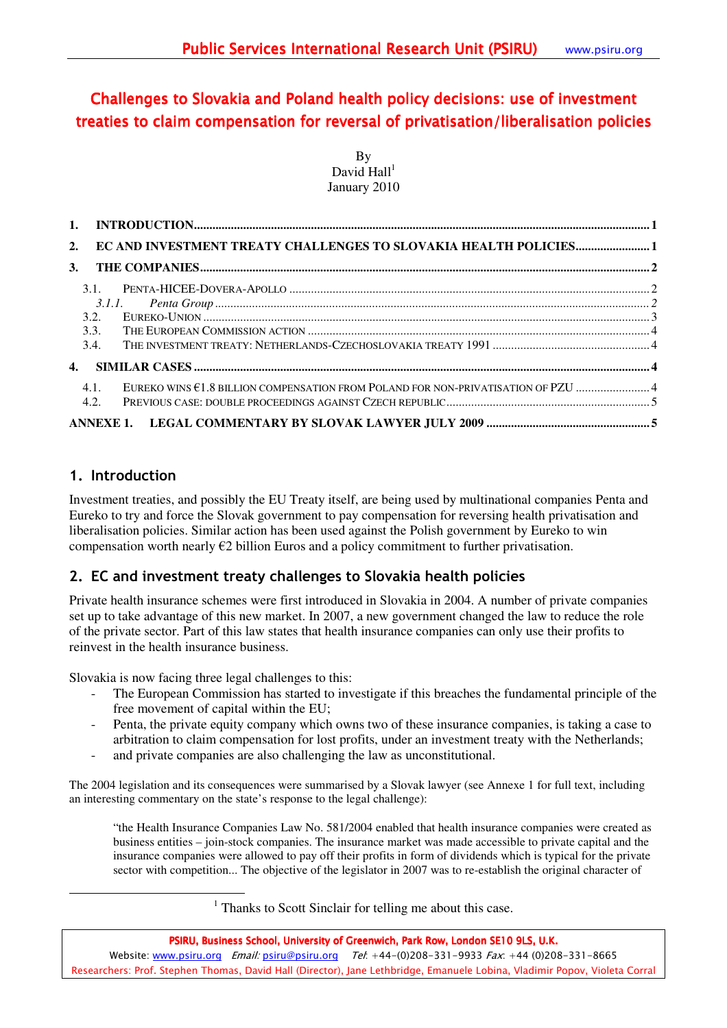# Challenges to Slovakia and Poland health policy decisions: use of investment treaties to claim compensation for reversal of privatisation/liberalisation policies

By David Hall $1$ January 2010

| 2. |         | EC AND INVESTMENT TREATY CHALLENGES TO SLOVAKIA HEALTH POLICIES 1                 |  |
|----|---------|-----------------------------------------------------------------------------------|--|
| 3. |         |                                                                                   |  |
|    |         |                                                                                   |  |
|    |         |                                                                                   |  |
|    |         |                                                                                   |  |
|    | 3.3.    |                                                                                   |  |
|    |         |                                                                                   |  |
|    |         |                                                                                   |  |
|    | $4.1$ . | EUREKO WINS €1.8 BILLION COMPENSATION FROM POLAND FOR NON-PRIVATISATION OF PZU  4 |  |
|    | 4.2.    |                                                                                   |  |
|    |         |                                                                                   |  |

# 1. Introduction

 $\overline{a}$ 

Investment treaties, and possibly the EU Treaty itself, are being used by multinational companies Penta and Eureko to try and force the Slovak government to pay compensation for reversing health privatisation and liberalisation policies. Similar action has been used against the Polish government by Eureko to win compensation worth nearly €2 billion Euros and a policy commitment to further privatisation.

# 2. EC and investment treaty challenges to Slovakia health policies

Private health insurance schemes were first introduced in Slovakia in 2004. A number of private companies set up to take advantage of this new market. In 2007, a new government changed the law to reduce the role of the private sector. Part of this law states that health insurance companies can only use their profits to reinvest in the health insurance business.

Slovakia is now facing three legal challenges to this:

- The European Commission has started to investigate if this breaches the fundamental principle of the free movement of capital within the EU;
- Penta, the private equity company which owns two of these insurance companies, is taking a case to arbitration to claim compensation for lost profits, under an investment treaty with the Netherlands;
- and private companies are also challenging the law as unconstitutional.

The 2004 legislation and its consequences were summarised by a Slovak lawyer (see Annexe 1 for full text, including an interesting commentary on the state's response to the legal challenge):

"the Health Insurance Companies Law No. 581/2004 enabled that health insurance companies were created as business entities – join-stock companies. The insurance market was made accessible to private capital and the insurance companies were allowed to pay off their profits in form of dividends which is typical for the private sector with competition... The objective of the legislator in 2007 was to re-establish the original character of

<sup>1</sup> Thanks to Scott Sinclair for telling me about this case.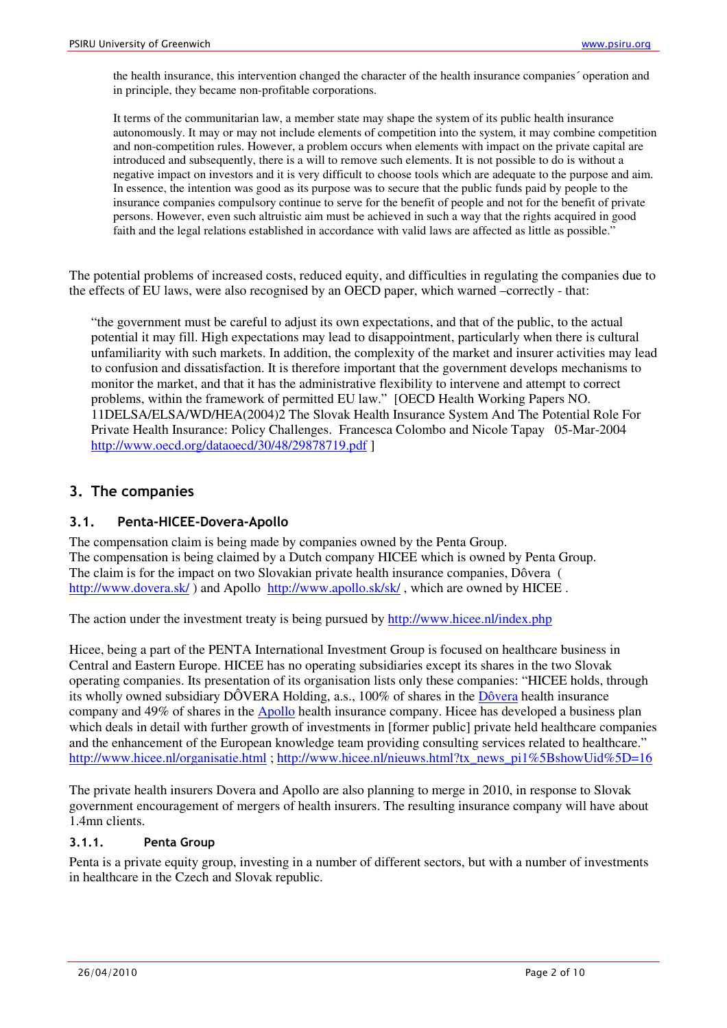the health insurance, this intervention changed the character of the health insurance companies´ operation and in principle, they became non-profitable corporations.

It terms of the communitarian law, a member state may shape the system of its public health insurance autonomously. It may or may not include elements of competition into the system, it may combine competition and non-competition rules. However, a problem occurs when elements with impact on the private capital are introduced and subsequently, there is a will to remove such elements. It is not possible to do is without a negative impact on investors and it is very difficult to choose tools which are adequate to the purpose and aim. In essence, the intention was good as its purpose was to secure that the public funds paid by people to the insurance companies compulsory continue to serve for the benefit of people and not for the benefit of private persons. However, even such altruistic aim must be achieved in such a way that the rights acquired in good faith and the legal relations established in accordance with valid laws are affected as little as possible."

The potential problems of increased costs, reduced equity, and difficulties in regulating the companies due to the effects of EU laws, were also recognised by an OECD paper, which warned –correctly - that:

"the government must be careful to adjust its own expectations, and that of the public, to the actual potential it may fill. High expectations may lead to disappointment, particularly when there is cultural unfamiliarity with such markets. In addition, the complexity of the market and insurer activities may lead to confusion and dissatisfaction. It is therefore important that the government develops mechanisms to monitor the market, and that it has the administrative flexibility to intervene and attempt to correct problems, within the framework of permitted EU law." [OECD Health Working Papers NO. 11DELSA/ELSA/WD/HEA(2004)2 The Slovak Health Insurance System And The Potential Role For Private Health Insurance: Policy Challenges. Francesca Colombo and Nicole Tapay 05-Mar-2004 http://www.oecd.org/dataoecd/30/48/29878719.pdf ]

### 3. The companies

### 3.1. Penta-HICEE-Dovera-Apollo

The compensation claim is being made by companies owned by the Penta Group. The compensation is being claimed by a Dutch company HICEE which is owned by Penta Group. The claim is for the impact on two Slovakian private health insurance companies, Dôvera ( http://www.dovera.sk/) and Apollo http://www.apollo.sk/sk/, which are owned by HICEE.

The action under the investment treaty is being pursued by http://www.hicee.nl/index.php

Hicee, being a part of the PENTA International Investment Group is focused on healthcare business in Central and Eastern Europe. HICEE has no operating subsidiaries except its shares in the two Slovak operating companies. Its presentation of its organisation lists only these companies: "HICEE holds, through its wholly owned subsidiary DÔVERA Holding, a.s., 100% of shares in the Dôvera health insurance company and 49% of shares in the Apollo health insurance company. Hicee has developed a business plan which deals in detail with further growth of investments in [former public] private held healthcare companies and the enhancement of the European knowledge team providing consulting services related to healthcare." http://www.hicee.nl/organisatie.html ; http://www.hicee.nl/nieuws.html?tx\_news\_pi1%5BshowUid%5D=16

The private health insurers Dovera and Apollo are also planning to merge in 2010, in response to Slovak government encouragement of mergers of health insurers. The resulting insurance company will have about 1.4mn clients.

### 3.1.1. Penta Group

Penta is a private equity group, investing in a number of different sectors, but with a number of investments in healthcare in the Czech and Slovak republic.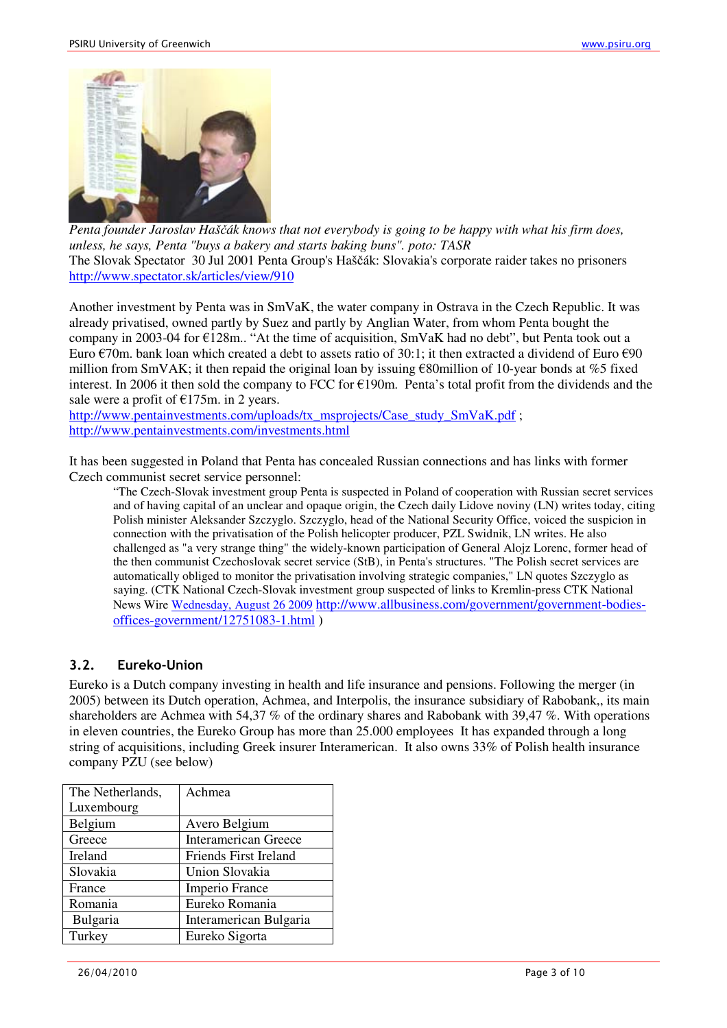

*Penta founder Jaroslav Haš*č*ák knows that not everybody is going to be happy with what his firm does, unless, he says, Penta "buys a bakery and starts baking buns". poto: TASR*  The Slovak Spectator 30 Jul 2001 Penta Group's Haščák: Slovakia's corporate raider takes no prisoners http://www.spectator.sk/articles/view/910

Another investment by Penta was in SmVaK, the water company in Ostrava in the Czech Republic. It was already privatised, owned partly by Suez and partly by Anglian Water, from whom Penta bought the company in 2003-04 for €128m.. "At the time of acquisition, SmVaK had no debt", but Penta took out a Euro  $\epsilon$ 70m. bank loan which created a debt to assets ratio of 30:1; it then extracted a dividend of Euro  $\epsilon$ 90 million from SmVAK; it then repaid the original loan by issuing  $\epsilon$ 80million of 10-year bonds at %5 fixed interest. In 2006 it then sold the company to FCC for €190m. Penta's total profit from the dividends and the sale were a profit of  $E175m$ . in 2 years.

http://www.pentainvestments.com/uploads/tx\_msprojects/Case\_study\_SmVaK.pdf ; http://www.pentainvestments.com/investments.html

It has been suggested in Poland that Penta has concealed Russian connections and has links with former Czech communist secret service personnel:

"The Czech-Slovak investment group Penta is suspected in Poland of cooperation with Russian secret services and of having capital of an unclear and opaque origin, the Czech daily Lidove noviny (LN) writes today, citing Polish minister Aleksander Szczyglo. Szczyglo, head of the National Security Office, voiced the suspicion in connection with the privatisation of the Polish helicopter producer, PZL Swidnik, LN writes. He also challenged as "a very strange thing" the widely-known participation of General Alojz Lorenc, former head of the then communist Czechoslovak secret service (StB), in Penta's structures. "The Polish secret services are automatically obliged to monitor the privatisation involving strategic companies," LN quotes Szczyglo as saying. (CTK National Czech-Slovak investment group suspected of links to Kremlin-press CTK National News Wire Wednesday, August 26 2009 http://www.allbusiness.com/government/government-bodiesoffices-government/12751083-1.html )

# 3.2. Eureko-Union

Eureko is a Dutch company investing in health and life insurance and pensions. Following the merger (in 2005) between its Dutch operation, Achmea, and Interpolis, the insurance subsidiary of Rabobank,, its main shareholders are Achmea with 54,37 % of the ordinary shares and Rabobank with 39,47 %. With operations in eleven countries, the Eureko Group has more than 25.000 employees It has expanded through a long string of acquisitions, including Greek insurer Interamerican. It also owns 33% of Polish health insurance company PZU (see below)

| The Netherlands, | Achmea                      |
|------------------|-----------------------------|
| Luxembourg       |                             |
| Belgium          | Avero Belgium               |
| Greece           | <b>Interamerican Greece</b> |
| Ireland          | Friends First Ireland       |
| Slovakia         | Union Slovakia              |
| France           | Imperio France              |
| Romania          | Eureko Romania              |
| Bulgaria         | Interamerican Bulgaria      |
| Turkey           | Eureko Sigorta              |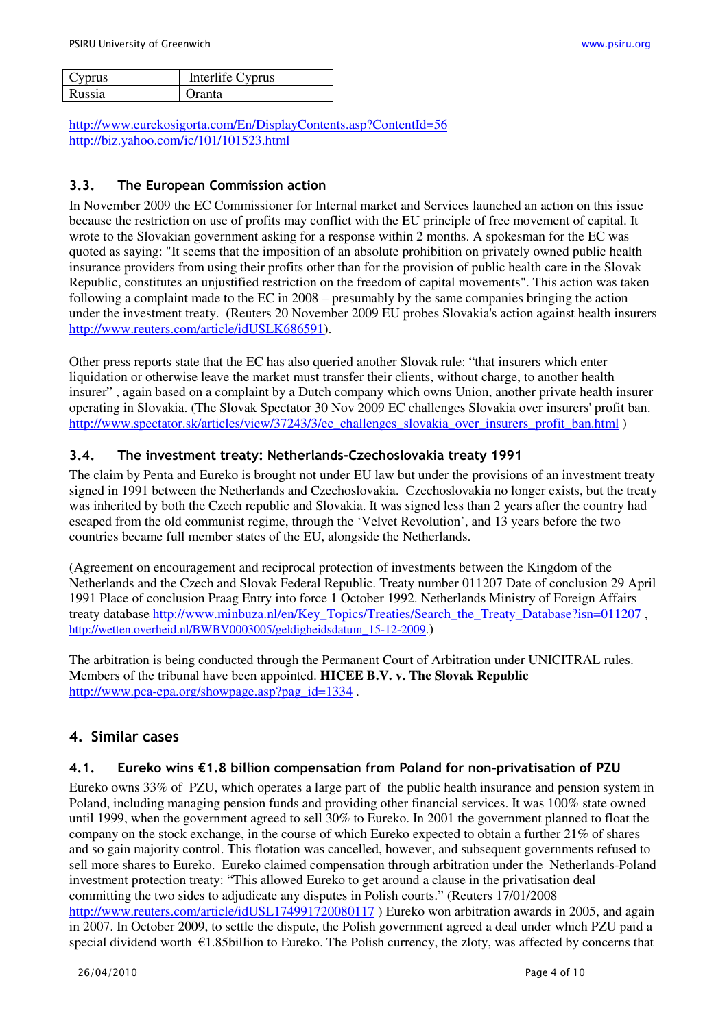| Cyprus | Interlife Cyprus |
|--------|------------------|
| Russia | <b>Dranta</b>    |

http://www.eurekosigorta.com/En/DisplayContents.asp?ContentId=56 http://biz.yahoo.com/ic/101/101523.html

## 3.3. The European Commission action

In November 2009 the EC Commissioner for Internal market and Services launched an action on this issue because the restriction on use of profits may conflict with the EU principle of free movement of capital. It wrote to the Slovakian government asking for a response within 2 months. A spokesman for the EC was quoted as saying: "It seems that the imposition of an absolute prohibition on privately owned public health insurance providers from using their profits other than for the provision of public health care in the Slovak Republic, constitutes an unjustified restriction on the freedom of capital movements". This action was taken following a complaint made to the EC in 2008 – presumably by the same companies bringing the action under the investment treaty. (Reuters 20 November 2009 EU probes Slovakia's action against health insurers http://www.reuters.com/article/idUSLK686591).

Other press reports state that the EC has also queried another Slovak rule: "that insurers which enter liquidation or otherwise leave the market must transfer their clients, without charge, to another health insurer" , again based on a complaint by a Dutch company which owns Union, another private health insurer operating in Slovakia. (The Slovak Spectator 30 Nov 2009 EC challenges Slovakia over insurers' profit ban. http://www.spectator.sk/articles/view/37243/3/ec\_challenges\_slovakia\_over\_insurers\_profit\_ban.html )

### 3.4. The investment treaty: Netherlands-Czechoslovakia treaty 1991

The claim by Penta and Eureko is brought not under EU law but under the provisions of an investment treaty signed in 1991 between the Netherlands and Czechoslovakia. Czechoslovakia no longer exists, but the treaty was inherited by both the Czech republic and Slovakia. It was signed less than 2 years after the country had escaped from the old communist regime, through the 'Velvet Revolution', and 13 years before the two countries became full member states of the EU, alongside the Netherlands.

(Agreement on encouragement and reciprocal protection of investments between the Kingdom of the Netherlands and the Czech and Slovak Federal Republic. Treaty number 011207 Date of conclusion 29 April 1991 Place of conclusion Praag Entry into force 1 October 1992. Netherlands Ministry of Foreign Affairs treaty database http://www.minbuza.nl/en/Key\_Topics/Treaties/Search\_the\_Treaty\_Database?isn=011207 , http://wetten.overheid.nl/BWBV0003005/geldigheidsdatum\_15-12-2009.)

The arbitration is being conducted through the Permanent Court of Arbitration under UNICITRAL rules. Members of the tribunal have been appointed. **HICEE B.V. v. The Slovak Republic**  http://www.pca-cpa.org/showpage.asp?pag\_id=1334.

# 4. Similar cases

### 4.1. Eureko wins €1.8 billion compensation from Poland for non-privatisation of PZU

Eureko owns 33% of PZU, which operates a large part of the public health insurance and pension system in Poland, including managing pension funds and providing other financial services. It was 100% state owned until 1999, when the government agreed to sell 30% to Eureko. In 2001 the government planned to float the company on the stock exchange, in the course of which Eureko expected to obtain a further 21% of shares and so gain majority control. This flotation was cancelled, however, and subsequent governments refused to sell more shares to Eureko. Eureko claimed compensation through arbitration under the Netherlands-Poland investment protection treaty: "This allowed Eureko to get around a clause in the privatisation deal committing the two sides to adjudicate any disputes in Polish courts." (Reuters 17/01/2008 http://www.reuters.com/article/idUSL174991720080117) Eureko won arbitration awards in 2005, and again in 2007. In October 2009, to settle the dispute, the Polish government agreed a deal under which PZU paid a special dividend worth  $\epsilon$ 1.85billion to Eureko. The Polish currency, the zloty, was affected by concerns that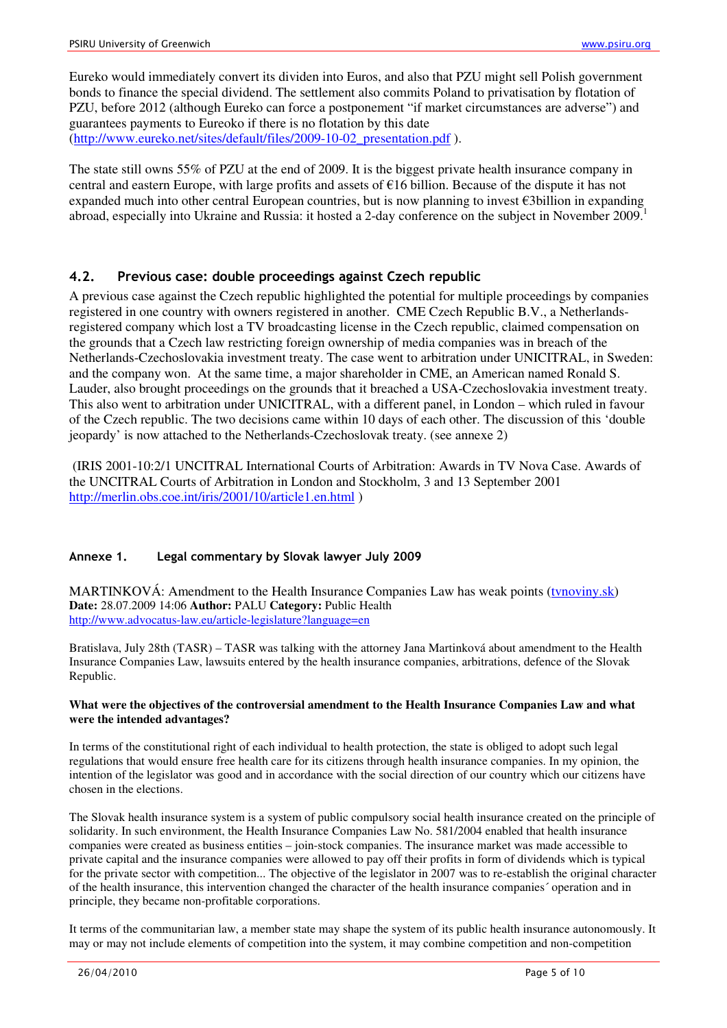Eureko would immediately convert its dividen into Euros, and also that PZU might sell Polish government bonds to finance the special dividend. The settlement also commits Poland to privatisation by flotation of PZU, before 2012 (although Eureko can force a postponement "if market circumstances are adverse") and guarantees payments to Eureoko if there is no flotation by this date (http://www.eureko.net/sites/default/files/2009-10-02 presentation.pdf).

The state still owns 55% of PZU at the end of 2009. It is the biggest private health insurance company in central and eastern Europe, with large profits and assets of €16 billion. Because of the dispute it has not expanded much into other central European countries, but is now planning to invest €3billion in expanding abroad, especially into Ukraine and Russia: it hosted a 2-day conference on the subject in November 2009.<sup>1</sup>

### 4.2. Previous case: double proceedings against Czech republic

A previous case against the Czech republic highlighted the potential for multiple proceedings by companies registered in one country with owners registered in another. CME Czech Republic B.V., a Netherlandsregistered company which lost a TV broadcasting license in the Czech republic, claimed compensation on the grounds that a Czech law restricting foreign ownership of media companies was in breach of the Netherlands-Czechoslovakia investment treaty. The case went to arbitration under UNICITRAL, in Sweden: and the company won. At the same time, a major shareholder in CME, an American named Ronald S. Lauder, also brought proceedings on the grounds that it breached a USA-Czechoslovakia investment treaty. This also went to arbitration under UNICITRAL, with a different panel, in London – which ruled in favour of the Czech republic. The two decisions came within 10 days of each other. The discussion of this 'double jeopardy' is now attached to the Netherlands-Czechoslovak treaty. (see annexe 2)

 (IRIS 2001-10:2/1 UNCITRAL International Courts of Arbitration: Awards in TV Nova Case. Awards of the UNCITRAL Courts of Arbitration in London and Stockholm, 3 and 13 September 2001 http://merlin.obs.coe.int/iris/2001/10/article1.en.html)

#### Annexe 1. Legal commentary by Slovak lawyer July 2009

MARTINKOVÁ: Amendment to the Health Insurance Companies Law has weak points (tvnoviny.sk) **Date:** 28.07.2009 14:06 **Author:** PALU **Category:** Public Health http://www.advocatus-law.eu/article-legislature?language=en

Bratislava, July 28th (TASR) – TASR was talking with the attorney Jana Martinková about amendment to the Health Insurance Companies Law, lawsuits entered by the health insurance companies, arbitrations, defence of the Slovak Republic.

#### **What were the objectives of the controversial amendment to the Health Insurance Companies Law and what were the intended advantages?**

In terms of the constitutional right of each individual to health protection, the state is obliged to adopt such legal regulations that would ensure free health care for its citizens through health insurance companies. In my opinion, the intention of the legislator was good and in accordance with the social direction of our country which our citizens have chosen in the elections.

The Slovak health insurance system is a system of public compulsory social health insurance created on the principle of solidarity. In such environment, the Health Insurance Companies Law No. 581/2004 enabled that health insurance companies were created as business entities – join-stock companies. The insurance market was made accessible to private capital and the insurance companies were allowed to pay off their profits in form of dividends which is typical for the private sector with competition... The objective of the legislator in 2007 was to re-establish the original character of the health insurance, this intervention changed the character of the health insurance companies´ operation and in principle, they became non-profitable corporations.

It terms of the communitarian law, a member state may shape the system of its public health insurance autonomously. It may or may not include elements of competition into the system, it may combine competition and non-competition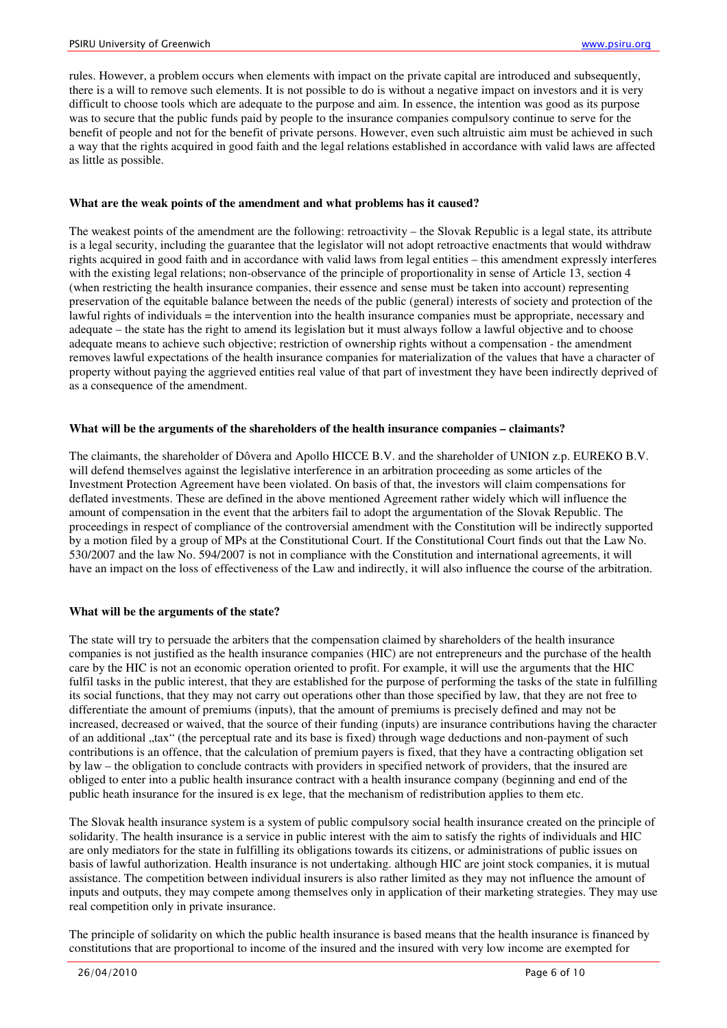rules. However, a problem occurs when elements with impact on the private capital are introduced and subsequently, there is a will to remove such elements. It is not possible to do is without a negative impact on investors and it is very difficult to choose tools which are adequate to the purpose and aim. In essence, the intention was good as its purpose was to secure that the public funds paid by people to the insurance companies compulsory continue to serve for the benefit of people and not for the benefit of private persons. However, even such altruistic aim must be achieved in such a way that the rights acquired in good faith and the legal relations established in accordance with valid laws are affected as little as possible.

#### **What are the weak points of the amendment and what problems has it caused?**

The weakest points of the amendment are the following: retroactivity – the Slovak Republic is a legal state, its attribute is a legal security, including the guarantee that the legislator will not adopt retroactive enactments that would withdraw rights acquired in good faith and in accordance with valid laws from legal entities – this amendment expressly interferes with the existing legal relations; non-observance of the principle of proportionality in sense of Article 13, section 4 (when restricting the health insurance companies, their essence and sense must be taken into account) representing preservation of the equitable balance between the needs of the public (general) interests of society and protection of the lawful rights of individuals = the intervention into the health insurance companies must be appropriate, necessary and adequate – the state has the right to amend its legislation but it must always follow a lawful objective and to choose adequate means to achieve such objective; restriction of ownership rights without a compensation - the amendment removes lawful expectations of the health insurance companies for materialization of the values that have a character of property without paying the aggrieved entities real value of that part of investment they have been indirectly deprived of as a consequence of the amendment.

### **What will be the arguments of the shareholders of the health insurance companies – claimants?**

The claimants, the shareholder of Dôvera and Apollo HICCE B.V. and the shareholder of UNION z.p. EUREKO B.V. will defend themselves against the legislative interference in an arbitration proceeding as some articles of the Investment Protection Agreement have been violated. On basis of that, the investors will claim compensations for deflated investments. These are defined in the above mentioned Agreement rather widely which will influence the amount of compensation in the event that the arbiters fail to adopt the argumentation of the Slovak Republic. The proceedings in respect of compliance of the controversial amendment with the Constitution will be indirectly supported by a motion filed by a group of MPs at the Constitutional Court. If the Constitutional Court finds out that the Law No. 530/2007 and the law No. 594/2007 is not in compliance with the Constitution and international agreements, it will have an impact on the loss of effectiveness of the Law and indirectly, it will also influence the course of the arbitration.

#### **What will be the arguments of the state?**

The state will try to persuade the arbiters that the compensation claimed by shareholders of the health insurance companies is not justified as the health insurance companies (HIC) are not entrepreneurs and the purchase of the health care by the HIC is not an economic operation oriented to profit. For example, it will use the arguments that the HIC fulfil tasks in the public interest, that they are established for the purpose of performing the tasks of the state in fulfilling its social functions, that they may not carry out operations other than those specified by law, that they are not free to differentiate the amount of premiums (inputs), that the amount of premiums is precisely defined and may not be increased, decreased or waived, that the source of their funding (inputs) are insurance contributions having the character of an additional "tax" (the perceptual rate and its base is fixed) through wage deductions and non-payment of such contributions is an offence, that the calculation of premium payers is fixed, that they have a contracting obligation set by law – the obligation to conclude contracts with providers in specified network of providers, that the insured are obliged to enter into a public health insurance contract with a health insurance company (beginning and end of the public heath insurance for the insured is ex lege, that the mechanism of redistribution applies to them etc.

The Slovak health insurance system is a system of public compulsory social health insurance created on the principle of solidarity. The health insurance is a service in public interest with the aim to satisfy the rights of individuals and HIC are only mediators for the state in fulfilling its obligations towards its citizens, or administrations of public issues on basis of lawful authorization. Health insurance is not undertaking. although HIC are joint stock companies, it is mutual assistance. The competition between individual insurers is also rather limited as they may not influence the amount of inputs and outputs, they may compete among themselves only in application of their marketing strategies. They may use real competition only in private insurance.

The principle of solidarity on which the public health insurance is based means that the health insurance is financed by constitutions that are proportional to income of the insured and the insured with very low income are exempted for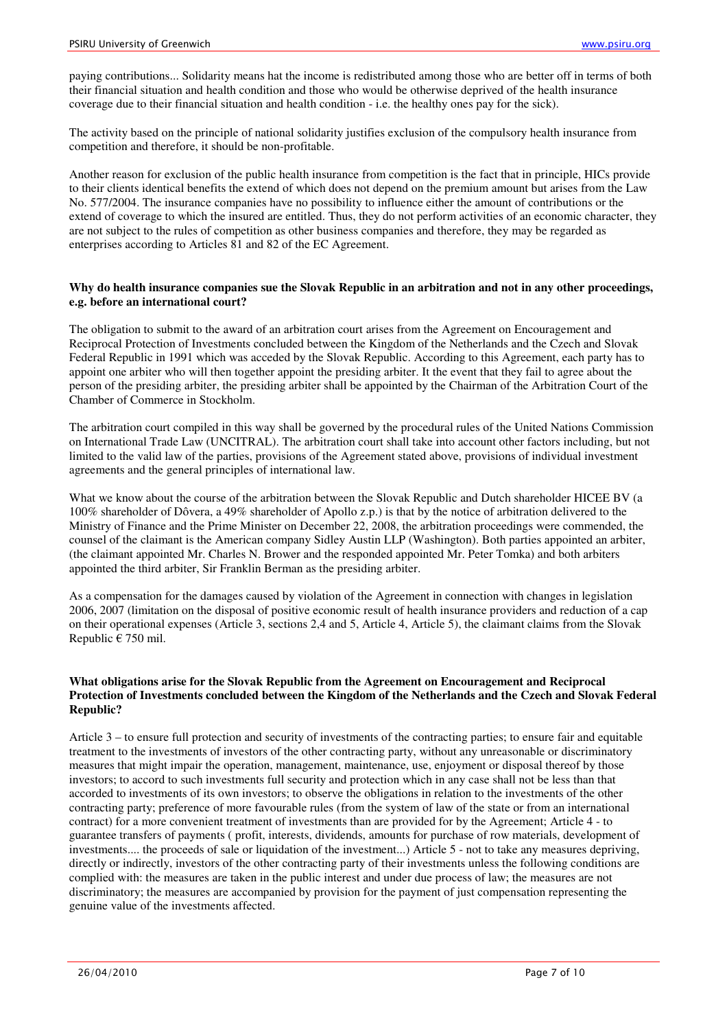paying contributions... Solidarity means hat the income is redistributed among those who are better off in terms of both their financial situation and health condition and those who would be otherwise deprived of the health insurance coverage due to their financial situation and health condition - i.e. the healthy ones pay for the sick).

The activity based on the principle of national solidarity justifies exclusion of the compulsory health insurance from competition and therefore, it should be non-profitable.

Another reason for exclusion of the public health insurance from competition is the fact that in principle, HICs provide to their clients identical benefits the extend of which does not depend on the premium amount but arises from the Law No. 577/2004. The insurance companies have no possibility to influence either the amount of contributions or the extend of coverage to which the insured are entitled. Thus, they do not perform activities of an economic character, they are not subject to the rules of competition as other business companies and therefore, they may be regarded as enterprises according to Articles 81 and 82 of the EC Agreement.

#### **Why do health insurance companies sue the Slovak Republic in an arbitration and not in any other proceedings, e.g. before an international court?**

The obligation to submit to the award of an arbitration court arises from the Agreement on Encouragement and Reciprocal Protection of Investments concluded between the Kingdom of the Netherlands and the Czech and Slovak Federal Republic in 1991 which was acceded by the Slovak Republic. According to this Agreement, each party has to appoint one arbiter who will then together appoint the presiding arbiter. It the event that they fail to agree about the person of the presiding arbiter, the presiding arbiter shall be appointed by the Chairman of the Arbitration Court of the Chamber of Commerce in Stockholm.

The arbitration court compiled in this way shall be governed by the procedural rules of the United Nations Commission on International Trade Law (UNCITRAL). The arbitration court shall take into account other factors including, but not limited to the valid law of the parties, provisions of the Agreement stated above, provisions of individual investment agreements and the general principles of international law.

What we know about the course of the arbitration between the Slovak Republic and Dutch shareholder HICEE BV (a 100% shareholder of Dôvera, a 49% shareholder of Apollo z.p.) is that by the notice of arbitration delivered to the Ministry of Finance and the Prime Minister on December 22, 2008, the arbitration proceedings were commended, the counsel of the claimant is the American company Sidley Austin LLP (Washington). Both parties appointed an arbiter, (the claimant appointed Mr. Charles N. Brower and the responded appointed Mr. Peter Tomka) and both arbiters appointed the third arbiter, Sir Franklin Berman as the presiding arbiter.

As a compensation for the damages caused by violation of the Agreement in connection with changes in legislation 2006, 2007 (limitation on the disposal of positive economic result of health insurance providers and reduction of a cap on their operational expenses (Article 3, sections 2,4 and 5, Article 4, Article 5), the claimant claims from the Slovak Republic  $\epsilon$  750 mil.

#### **What obligations arise for the Slovak Republic from the Agreement on Encouragement and Reciprocal Protection of Investments concluded between the Kingdom of the Netherlands and the Czech and Slovak Federal Republic?**

Article 3 – to ensure full protection and security of investments of the contracting parties; to ensure fair and equitable treatment to the investments of investors of the other contracting party, without any unreasonable or discriminatory measures that might impair the operation, management, maintenance, use, enjoyment or disposal thereof by those investors; to accord to such investments full security and protection which in any case shall not be less than that accorded to investments of its own investors; to observe the obligations in relation to the investments of the other contracting party; preference of more favourable rules (from the system of law of the state or from an international contract) for a more convenient treatment of investments than are provided for by the Agreement; Article 4 - to guarantee transfers of payments ( profit, interests, dividends, amounts for purchase of row materials, development of investments.... the proceeds of sale or liquidation of the investment...) Article 5 - not to take any measures depriving, directly or indirectly, investors of the other contracting party of their investments unless the following conditions are complied with: the measures are taken in the public interest and under due process of law; the measures are not discriminatory; the measures are accompanied by provision for the payment of just compensation representing the genuine value of the investments affected.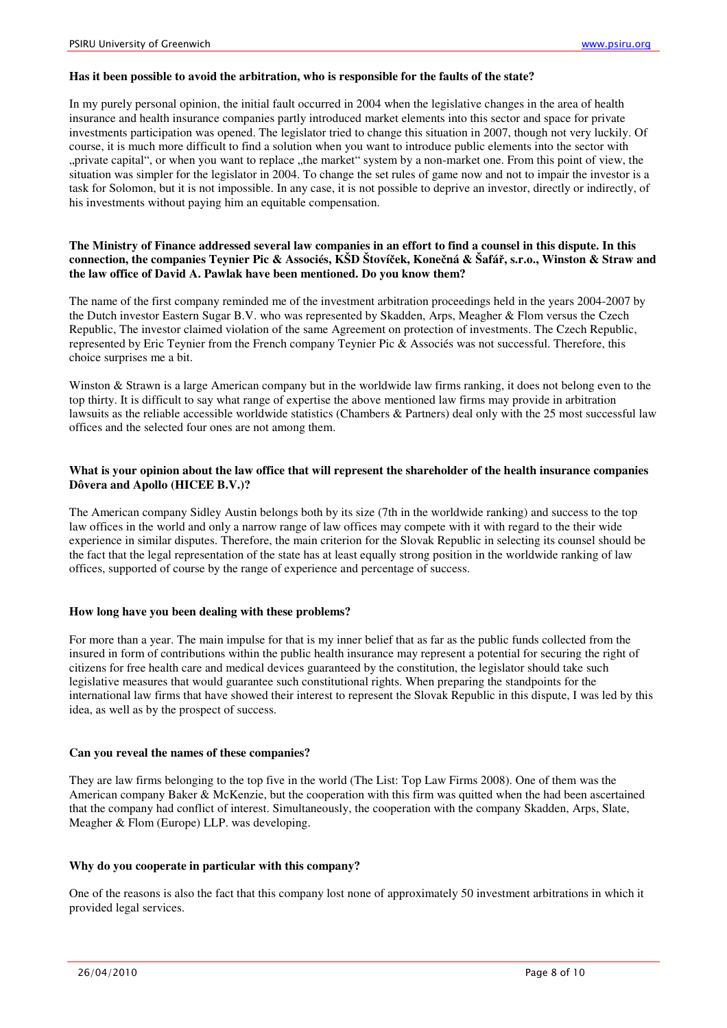#### **Has it been possible to avoid the arbitration, who is responsible for the faults of the state?**

In my purely personal opinion, the initial fault occurred in 2004 when the legislative changes in the area of health insurance and health insurance companies partly introduced market elements into this sector and space for private investments participation was opened. The legislator tried to change this situation in 2007, though not very luckily. Of course, it is much more difficult to find a solution when you want to introduce public elements into the sector with "private capital", or when you want to replace "the market" system by a non-market one. From this point of view, the situation was simpler for the legislator in 2004. To change the set rules of game now and not to impair the investor is a task for Solomon, but it is not impossible. In any case, it is not possible to deprive an investor, directly or indirectly, of his investments without paying him an equitable compensation.

#### **The Ministry of Finance addressed several law companies in an effort to find a counsel in this dispute. In this connection, the companies Teynier Pic & Associés, KŠD Štoví**č**ek, Kone**č**ná & Šafá**ř**, s.r.o., Winston & Straw and the law office of David A. Pawlak have been mentioned. Do you know them?**

The name of the first company reminded me of the investment arbitration proceedings held in the years 2004-2007 by the Dutch investor Eastern Sugar B.V. who was represented by Skadden, Arps, Meagher & Flom versus the Czech Republic, The investor claimed violation of the same Agreement on protection of investments. The Czech Republic, represented by Eric Teynier from the French company Teynier Pic & Associés was not successful. Therefore, this choice surprises me a bit.

Winston & Strawn is a large American company but in the worldwide law firms ranking, it does not belong even to the top thirty. It is difficult to say what range of expertise the above mentioned law firms may provide in arbitration lawsuits as the reliable accessible worldwide statistics (Chambers & Partners) deal only with the 25 most successful law offices and the selected four ones are not among them.

#### **What is your opinion about the law office that will represent the shareholder of the health insurance companies Dôvera and Apollo (HICEE B.V.)?**

The American company Sidley Austin belongs both by its size (7th in the worldwide ranking) and success to the top law offices in the world and only a narrow range of law offices may compete with it with regard to the their wide experience in similar disputes. Therefore, the main criterion for the Slovak Republic in selecting its counsel should be the fact that the legal representation of the state has at least equally strong position in the worldwide ranking of law offices, supported of course by the range of experience and percentage of success.

#### **How long have you been dealing with these problems?**

For more than a year. The main impulse for that is my inner belief that as far as the public funds collected from the insured in form of contributions within the public health insurance may represent a potential for securing the right of citizens for free health care and medical devices guaranteed by the constitution, the legislator should take such legislative measures that would guarantee such constitutional rights. When preparing the standpoints for the international law firms that have showed their interest to represent the Slovak Republic in this dispute, I was led by this idea, as well as by the prospect of success.

#### **Can you reveal the names of these companies?**

They are law firms belonging to the top five in the world (The List: Top Law Firms 2008). One of them was the American company Baker & McKenzie, but the cooperation with this firm was quitted when the had been ascertained that the company had conflict of interest. Simultaneously, the cooperation with the company Skadden, Arps, Slate, Meagher & Flom (Europe) LLP. was developing.

#### **Why do you cooperate in particular with this company?**

One of the reasons is also the fact that this company lost none of approximately 50 investment arbitrations in which it provided legal services.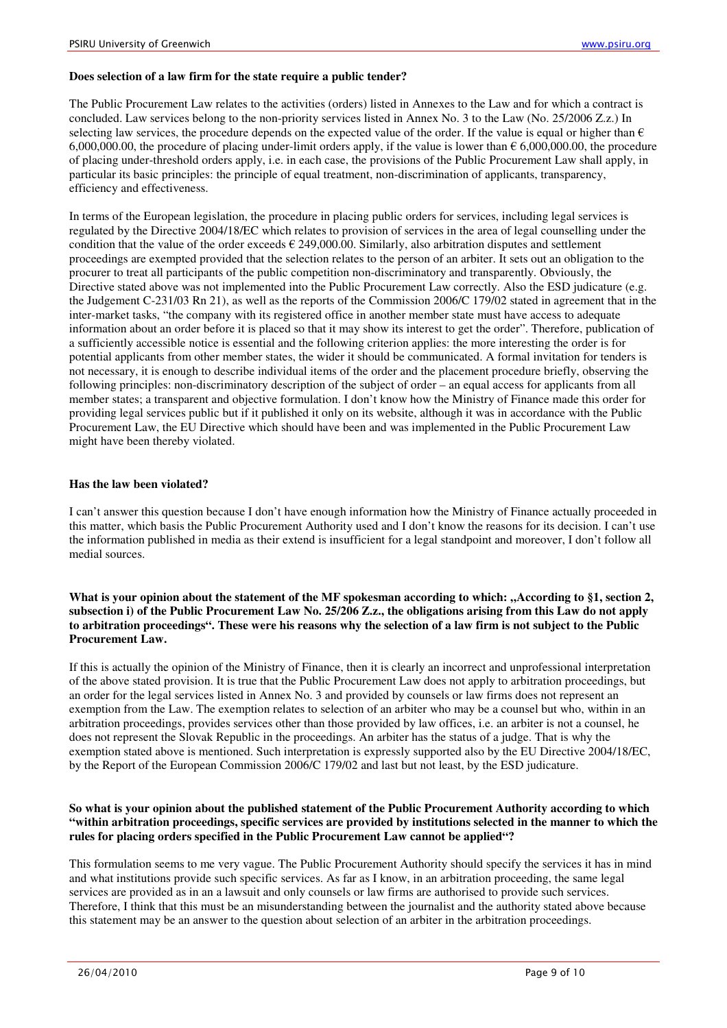#### **Does selection of a law firm for the state require a public tender?**

The Public Procurement Law relates to the activities (orders) listed in Annexes to the Law and for which a contract is concluded. Law services belong to the non-priority services listed in Annex No. 3 to the Law (No. 25/2006 Z.z.) In selecting law services, the procedure depends on the expected value of the order. If the value is equal or higher than  $\epsilon$ 6,000,000.00, the procedure of placing under-limit orders apply, if the value is lower than  $\epsilon$  6,000,000.00, the procedure of placing under-threshold orders apply, i.e. in each case, the provisions of the Public Procurement Law shall apply, in particular its basic principles: the principle of equal treatment, non-discrimination of applicants, transparency, efficiency and effectiveness.

In terms of the European legislation, the procedure in placing public orders for services, including legal services is regulated by the Directive 2004/18/EC which relates to provision of services in the area of legal counselling under the condition that the value of the order exceeds  $\epsilon$  249,000.00. Similarly, also arbitration disputes and settlement proceedings are exempted provided that the selection relates to the person of an arbiter. It sets out an obligation to the procurer to treat all participants of the public competition non-discriminatory and transparently. Obviously, the Directive stated above was not implemented into the Public Procurement Law correctly. Also the ESD judicature (e.g. the Judgement C-231/03 Rn 21), as well as the reports of the Commission 2006/C 179/02 stated in agreement that in the inter-market tasks, "the company with its registered office in another member state must have access to adequate information about an order before it is placed so that it may show its interest to get the order". Therefore, publication of a sufficiently accessible notice is essential and the following criterion applies: the more interesting the order is for potential applicants from other member states, the wider it should be communicated. A formal invitation for tenders is not necessary, it is enough to describe individual items of the order and the placement procedure briefly, observing the following principles: non-discriminatory description of the subject of order – an equal access for applicants from all member states; a transparent and objective formulation. I don't know how the Ministry of Finance made this order for providing legal services public but if it published it only on its website, although it was in accordance with the Public Procurement Law, the EU Directive which should have been and was implemented in the Public Procurement Law might have been thereby violated.

#### **Has the law been violated?**

I can't answer this question because I don't have enough information how the Ministry of Finance actually proceeded in this matter, which basis the Public Procurement Authority used and I don't know the reasons for its decision. I can't use the information published in media as their extend is insufficient for a legal standpoint and moreover, I don't follow all medial sources.

What is your opinion about the statement of the MF spokesman according to which: "According to §1, section 2, **subsection i) of the Public Procurement Law No. 25/206 Z.z., the obligations arising from this Law do not apply to arbitration proceedings". These were his reasons why the selection of a law firm is not subject to the Public Procurement Law.**

If this is actually the opinion of the Ministry of Finance, then it is clearly an incorrect and unprofessional interpretation of the above stated provision. It is true that the Public Procurement Law does not apply to arbitration proceedings, but an order for the legal services listed in Annex No. 3 and provided by counsels or law firms does not represent an exemption from the Law. The exemption relates to selection of an arbiter who may be a counsel but who, within in an arbitration proceedings, provides services other than those provided by law offices, i.e. an arbiter is not a counsel, he does not represent the Slovak Republic in the proceedings. An arbiter has the status of a judge. That is why the exemption stated above is mentioned. Such interpretation is expressly supported also by the EU Directive 2004/18/EC, by the Report of the European Commission 2006/C 179/02 and last but not least, by the ESD judicature.

#### **So what is your opinion about the published statement of the Public Procurement Authority according to which "within arbitration proceedings, specific services are provided by institutions selected in the manner to which the rules for placing orders specified in the Public Procurement Law cannot be applied"?**

This formulation seems to me very vague. The Public Procurement Authority should specify the services it has in mind and what institutions provide such specific services. As far as I know, in an arbitration proceeding, the same legal services are provided as in an a lawsuit and only counsels or law firms are authorised to provide such services. Therefore, I think that this must be an misunderstanding between the journalist and the authority stated above because this statement may be an answer to the question about selection of an arbiter in the arbitration proceedings.